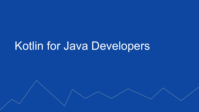## Kotlin for Java Developers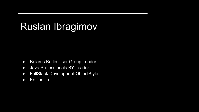## Ruslan Ibragimov

- Belarus Kotlin User Group Leader
- Java Professionals BY Leader
- FullStack Developer at ObjectStyle
- Kotliner :)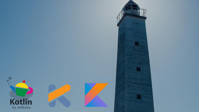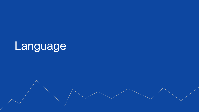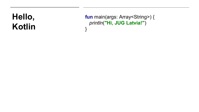### **Hello, Kotlin**

**fun** main(args: Array<String>) { *println* (**"Hi, JUG Latvia!"** ) }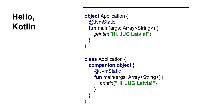### **Hello, Kotlin**

```
object Application {
  @JvmStatic
  fun main(args: Array<String>) {
 println
("Hi, JUG Latvia!"
)
 } }
class Application {
 companion object 
{
     @JvmStatic
     fun main(args: Array<String>) {
 println
("Hi, JUG Latvia!"
)
```
}

}

}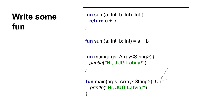#### **Write some fun**

**fun** sum(a: Int, b: Int): Int { **return** a + b }

**fun** sum(a: lnt, b: lnt) =  $a + b$ 

**fun** main(args: Array<String>) { *println*(**"Hi, JUG Latvia!"**) } fun main(args: Array<String>): Unit { *println*(**"Hi, JUG Latvia!"**) }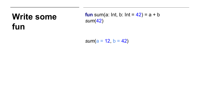#### **Write some fun**

**fun** sum(a: Int, b: Int =  $42$ ) = a + b *sum*(42)

$$
sum(a = 12, b = 42)
$$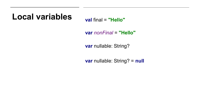#### **Local variables val** final = **"Hello"**

**var** *nonFinal* = **"Hello"**

**var** nullable: String?

**var** nullable: String? = **null**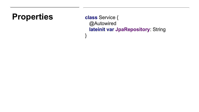### **Properties class** Service {

 @Autowired **lateinit var JpaRepository**: String }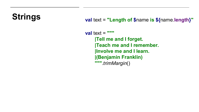#### **Strings val** text = **"Length of \$**name **is \${**name.**length}"**

**val** text = **""" |Tell me and I forget. |Teach me and I remember. |Involve me and I learn. |(Benjamin Franklin) """**.*trimMargin*()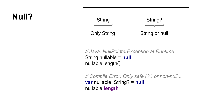#### **Null?**



*// Java, NullPointerException at Runtime* String nullable = **null**; nullable.length();

*// Compile Error: Only safe (?.) or non-null...* **var** nullable: String? = **null** nullable.**length**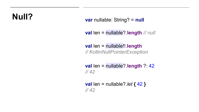**Null? var** nullable: String? = **null** 

**val** len = nullable?.**length** *// null*

**val** len = nullable!!.**length** *// KotlinNullPointerException*

**val** len = nullable?.**length** ?: 42 *// 42*

**val** len = nullable?.*let* **{** 42 **}** *// 42*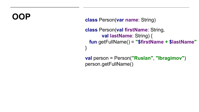**class Person(var name: String) class** Person(**val firstName**: String, **val lastName**: String) { **fun** getFullName() = **" \$firstName + \$lastName "** }

**val** person = Person(**"Ruslan"**, **"Ibragimov"** ) person.getFullName()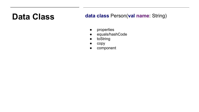#### **Data Class data class Person(val name: String)**

- properties
- equals/hashCode
- toString
- copy
- component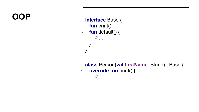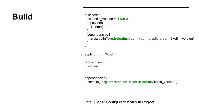

 compile(**"org.jetbrains.kotlin:kotlin-stdlib:**\$kotlin\_version**"**) }

Intellij Idea: Configurare Kotlin In Project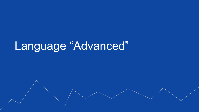## Language "Advanced"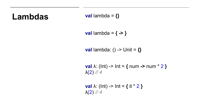#### $Lambdas$  **val** lambda =  $\{$ }

**val** lambda = **{ -> }**

**val** lambda: () -> Unit = **{}**

**val**  $\lambda$ : (Int) -> Int = { num -> num  $*$  2 } λ(2) *// 4*

**val**  $\lambda$ : (Int) -> Int = { it \* 2 } λ(2) *// 4*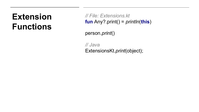#### **Extension Functions**

*// File: Extensions.kt* **fun** Any?.print() = *println*(**this**)

person.*print*()

*// Java* ExtensionsKt.*print*(object);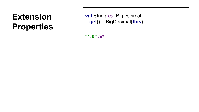### **Extension Properties**

**val** String.*bd*: BigDecimal **get**() = BigDecimal(**this** )

**"1.0"**.*bd*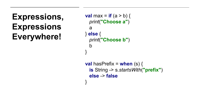**Expressions, Expressions Everywhere!**

```
val max = if (a > b) {
  print("Choose a")
   a
} else {
   print("Choose b")
   b
}
val hasPrefix = when (s) {
   is String -> s.startsWith("prefix")
   else -> false
}
```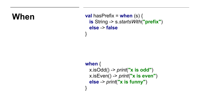**When val hasPrefix = when** (s) { **is** String -> s.*startsWith*(**"prefix"**) **else** -> **false** }

> **when** { x.isOdd() -> *print*(**"x is odd"**) x.isEven() -> *print*(**"x is even"**) **else** -> *print*(**"x is funny"**) }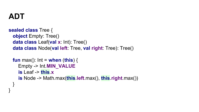#### **ADT**

}

```
sealed class Tree {
  object Empty: Tree()
  data class Leaf(val x: Int): Tree()
  data class Node(val left: Tree, val right: Tree): Tree()
```

```
 fun max(): Int = when (this) {
     Empty -> Int.MIN_VALUE
     is Leaf -> this.x
     is Node -> Math.max(this.left.max(), this.right.max())
 }
```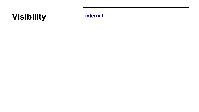### **Visibility internal**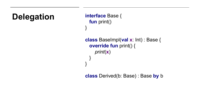**Delegation interface** Base { **fun** print() } **class** BaseImpl(**val x**: Int) : Base { **override fun** print() { *print*(**x**) } }

**class** Derived(b: Base) : Base **by** b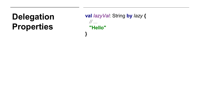### **Delegation Properties**

**val** *lazyVal*: String **by** *lazy*  **{** *// ...* **"Hello" }**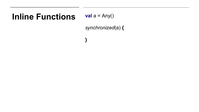#### **Inline Functions**

$$
val a = Any()
$$

**}**

*synchronized*(a) **{**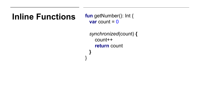#### **Inline Functions fun** getNumber(): Int {

**var** count  $= 0$ 

 *synchronized*(count) **{** count++ **return** count **}**

}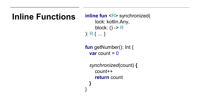**Inline Functions inline fun <R>** synchronized( lock: kotlin.Any, block: () ->  $R$ ): R { … }

> **fun** getNumber(): Int { **var** count  $= 0$

 *synchronized*(count) **{** count++ **return** count **}**

}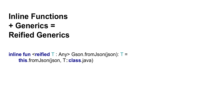#### **Inline Functions + Generics = Reified Generics**

**inline fun <reified** T : Any> Gson.fromJson(json): T = **this**.fromJson(json, T::**class**.java)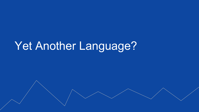## Yet Another Language?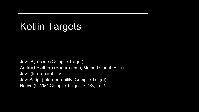## Kotlin Targets

Java Bytecode (Compile Target) Android Platform (Performance, Method Count, Size) Java (Interoperability) JavaScript (Interoperability, Compile Target) Native (LLVM\* Compile Target -> iOS, IoT?)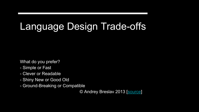## Language Design Trade-offs

What do you prefer?

- Simple or Fast
- Clever or Readable
- Shiny New or Good Old
- Ground-Breaking or Compatible

© Andrey Breslav 2013 [[source\]](http://www.slideshare.net/abreslav/trade-offs-22989326)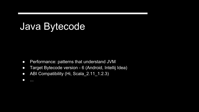### Java Bytecode

- Performance: patterns that understand JVM
- Target Bytecode version 6 (Android, Intellij Idea)
- ABI Compatibility (Hi, Scala\_2.11\_1.2.3)
- ...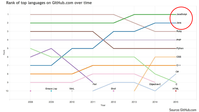Rank of top languages on GitHub.com over time



Source: GitHub.com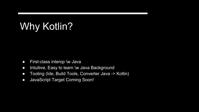## Why Kotlin?

- First-class interop \w Java
- Intuitive, Easy to learn \w Java Background
- Tooling (Ide, Build Tools, Converter Java -> Kotlin)
- JavaScript Target Coming Soon!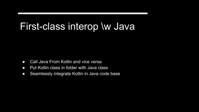### First-class interop \w Java

- Call Java From Kotlin and vice versa
- Put Kotlin class in folder with Java class
- Seamlessly integrate Kotlin in Java code base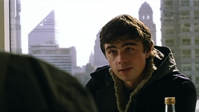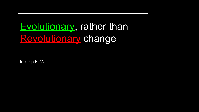## **Evolutionary, rather than** Revolutionary change

Interop FTW!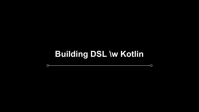### **Building DSL \w Kotlin**

 $\circ$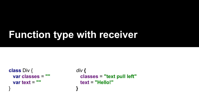## **Function type with receiver**

**class** Div { **var classes** = **"" var text** = **""** }

*div* **{ classes** = **"text pull left" text** = **"Hello!" }**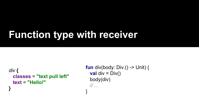## **Function type with receiver**

```
div {
   classes = "text pull left"
   text = "Hello!"
}
```
**fun** div(body: Div.() -> Unit) { **val**  $div = Div()$  body(div) *// ...* }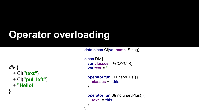## **Operator overloading**

**data class** Cl(**val name**: String)

```
div {
   + Cl("text")
   + Cl("pull left")
   + "Hello!"
```
**}**

**class** Div { **var classes** = *listOf*<Cl>() **var text** = **""**

 **operator fun** Cl.unaryPlus() { **classes** += **this** }

 **operator fun** String.unaryPlus() {  $text += this$ 

} }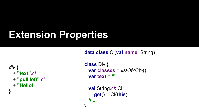## **Extension Properties**

**data class** Cl(**val name**: String)

*div* **{** + **"text"**.*cl* + **"pull left"**.*cl* + **"Hello!"**

**}**

**class** Div { **var classes** = *listOf*<Cl>() **var text** = **""**

```
 val String.cl: Cl
    get() = Cl(this)
 // ...
```
}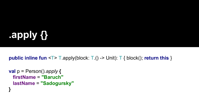## **.apply {}**

**public inline fun** <T> T.apply(block: T.() -> Unit): T { block(); **return this** }

```
val p = Person().apply {
  firstName = "Baruch"
  lastName = "Sadogursky"
}
```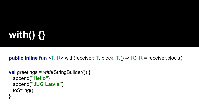# **with() {}**

**public inline fun**  $\leq$ T, R $>$  with(receiver: T, block: T.() - $>$  R): R = receiver.block()

```
val greetings = with(StringBuilder()) {
  append("Hello")
  append("JUG Latvia")
  toString()
}
```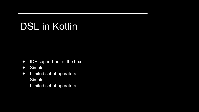## DSL in Kotlin

- + IDE support out of the box
- + Simple
- + Limited set of operators
- Simple
- Limited set of operators